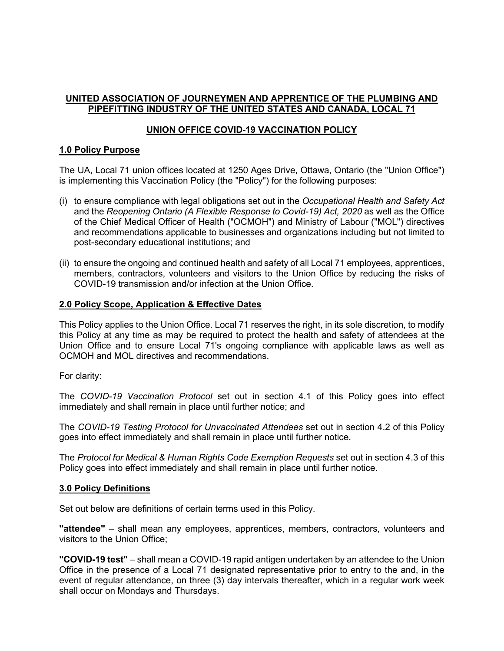## **UNITED ASSOCIATION OF JOURNEYMEN AND APPRENTICE OF THE PLUMBING AND PIPEFITTING INDUSTRY OF THE UNITED STATES AND CANADA, LOCAL 71**

# **UNION OFFICE COVID-19 VACCINATION POLICY**

## **1.0 Policy Purpose**

The UA, Local 71 union offices located at 1250 Ages Drive, Ottawa, Ontario (the "Union Office") is implementing this Vaccination Policy (the "Policy") for the following purposes:

- (i) to ensure compliance with legal obligations set out in the *Occupational Health and Safety Act* and the *Reopening Ontario (A Flexible Response to Covid-19) Act, 2020* as well as the Office of the Chief Medical Officer of Health ("OCMOH") and Ministry of Labour ("MOL") directives and recommendations applicable to businesses and organizations including but not limited to post-secondary educational institutions; and
- (ii) to ensure the ongoing and continued health and safety of all Local 71 employees, apprentices, members, contractors, volunteers and visitors to the Union Office by reducing the risks of COVID-19 transmission and/or infection at the Union Office.

## **2.0 Policy Scope, Application & Effective Dates**

This Policy applies to the Union Office. Local 71 reserves the right, in its sole discretion, to modify this Policy at any time as may be required to protect the health and safety of attendees at the Union Office and to ensure Local 71's ongoing compliance with applicable laws as well as OCMOH and MOL directives and recommendations.

For clarity:

The *COVID-19 Vaccination Protocol* set out in section 4.1 of this Policy goes into effect immediately and shall remain in place until further notice; and

The *COVID-19 Testing Protocol for Unvaccinated Attendees* set out in section 4.2 of this Policy goes into effect immediately and shall remain in place until further notice.

The *Protocol for Medical & Human Rights Code Exemption Requests* set out in section 4.3 of this Policy goes into effect immediately and shall remain in place until further notice.

### **3.0 Policy Definitions**

Set out below are definitions of certain terms used in this Policy.

**"attendee"** – shall mean any employees, apprentices, members, contractors, volunteers and visitors to the Union Office;

**"COVID-19 test"** – shall mean a COVID-19 rapid antigen undertaken by an attendee to the Union Office in the presence of a Local 71 designated representative prior to entry to the and, in the event of regular attendance, on three (3) day intervals thereafter, which in a regular work week shall occur on Mondays and Thursdays.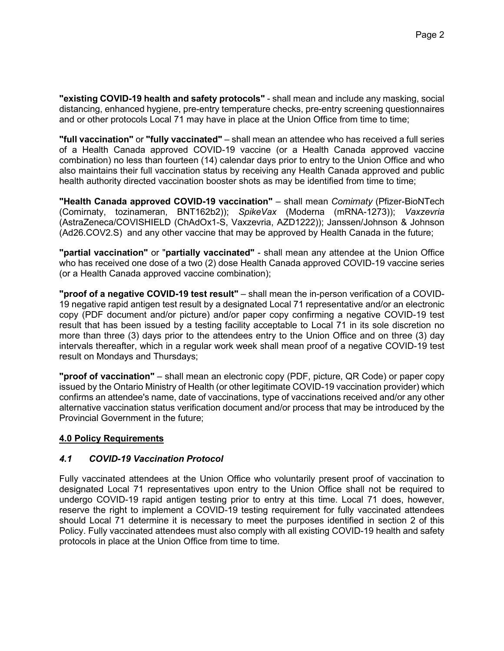**"existing COVID-19 health and safety protocols"** - shall mean and include any masking, social distancing, enhanced hygiene, pre-entry temperature checks, pre-entry screening questionnaires and or other protocols Local 71 may have in place at the Union Office from time to time;

**"full vaccination"** or **"fully vaccinated"** – shall mean an attendee who has received a full series of a Health Canada approved COVID-19 vaccine (or a Health Canada approved vaccine combination) no less than fourteen (14) calendar days prior to entry to the Union Office and who also maintains their full vaccination status by receiving any Health Canada approved and public health authority directed vaccination booster shots as may be identified from time to time;

**"Health Canada approved COVID-19 vaccination"** – shall mean *Comirnaty* (Pfizer-BioNTech (Comirnaty, tozinameran, BNT162b2)); *SpikeVax* (Moderna (mRNA-1273)); *Vaxzevria* (AstraZeneca/COVISHIELD (ChAdOx1-S, Vaxzevria, AZD1222)); Janssen/Johnson & Johnson (Ad26.COV2.S) and any other vaccine that may be approved by Health Canada in the future;

**"partial vaccination"** or "**partially vaccinated"** - shall mean any attendee at the Union Office who has received one dose of a two (2) dose Health Canada approved COVID-19 vaccine series (or a Health Canada approved vaccine combination);

**"proof of a negative COVID-19 test result"** – shall mean the in-person verification of a COVID-19 negative rapid antigen test result by a designated Local 71 representative and/or an electronic copy (PDF document and/or picture) and/or paper copy confirming a negative COVID-19 test result that has been issued by a testing facility acceptable to Local 71 in its sole discretion no more than three (3) days prior to the attendees entry to the Union Office and on three (3) day intervals thereafter, which in a regular work week shall mean proof of a negative COVID-19 test result on Mondays and Thursdays;

**"proof of vaccination"** – shall mean an electronic copy (PDF, picture, QR Code) or paper copy issued by the Ontario Ministry of Health (or other legitimate COVID-19 vaccination provider) which confirms an attendee's name, date of vaccinations, type of vaccinations received and/or any other alternative vaccination status verification document and/or process that may be introduced by the Provincial Government in the future;

# **4.0 Policy Requirements**

# *4.1 COVID-19 Vaccination Protocol*

Fully vaccinated attendees at the Union Office who voluntarily present proof of vaccination to designated Local 71 representatives upon entry to the Union Office shall not be required to undergo COVID-19 rapid antigen testing prior to entry at this time. Local 71 does, however, reserve the right to implement a COVID-19 testing requirement for fully vaccinated attendees should Local 71 determine it is necessary to meet the purposes identified in section 2 of this Policy. Fully vaccinated attendees must also comply with all existing COVID-19 health and safety protocols in place at the Union Office from time to time.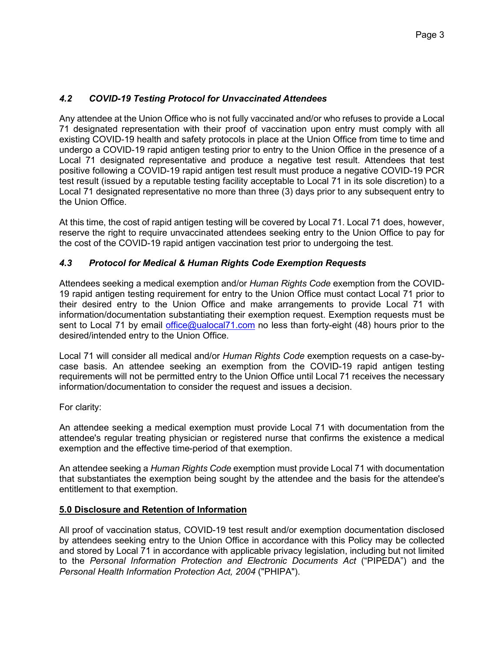# *4.2 COVID-19 Testing Protocol for Unvaccinated Attendees*

Any attendee at the Union Office who is not fully vaccinated and/or who refuses to provide a Local 71 designated representation with their proof of vaccination upon entry must comply with all existing COVID-19 health and safety protocols in place at the Union Office from time to time and undergo a COVID-19 rapid antigen testing prior to entry to the Union Office in the presence of a Local 71 designated representative and produce a negative test result. Attendees that test positive following a COVID-19 rapid antigen test result must produce a negative COVID-19 PCR test result (issued by a reputable testing facility acceptable to Local 71 in its sole discretion) to a Local 71 designated representative no more than three (3) days prior to any subsequent entry to the Union Office.

At this time, the cost of rapid antigen testing will be covered by Local 71. Local 71 does, however, reserve the right to require unvaccinated attendees seeking entry to the Union Office to pay for the cost of the COVID-19 rapid antigen vaccination test prior to undergoing the test.

# *4.3 Protocol for Medical & Human Rights Code Exemption Requests*

Attendees seeking a medical exemption and/or *Human Rights Code* exemption from the COVID-19 rapid antigen testing requirement for entry to the Union Office must contact Local 71 prior to their desired entry to the Union Office and make arrangements to provide Local 71 with information/documentation substantiating their exemption request. Exemption requests must be sent to Local 71 by email [office@ualocal71.com](mailto:office@ualocal71.com) no less than forty-eight (48) hours prior to the desired/intended entry to the Union Office.

Local 71 will consider all medical and/or *Human Rights Code* exemption requests on a case-bycase basis. An attendee seeking an exemption from the COVID-19 rapid antigen testing requirements will not be permitted entry to the Union Office until Local 71 receives the necessary information/documentation to consider the request and issues a decision.

### For clarity:

An attendee seeking a medical exemption must provide Local 71 with documentation from the attendee's regular treating physician or registered nurse that confirms the existence a medical exemption and the effective time-period of that exemption.

An attendee seeking a *Human Rights Code* exemption must provide Local 71 with documentation that substantiates the exemption being sought by the attendee and the basis for the attendee's entitlement to that exemption.

### **5.0 Disclosure and Retention of Information**

All proof of vaccination status, COVID-19 test result and/or exemption documentation disclosed by attendees seeking entry to the Union Office in accordance with this Policy may be collected and stored by Local 71 in accordance with applicable privacy legislation, including but not limited to the *Personal Information Protection and Electronic Documents Act* ("PIPEDA") and the *Personal Health Information Protection Act, 2004* ("PHIPA").